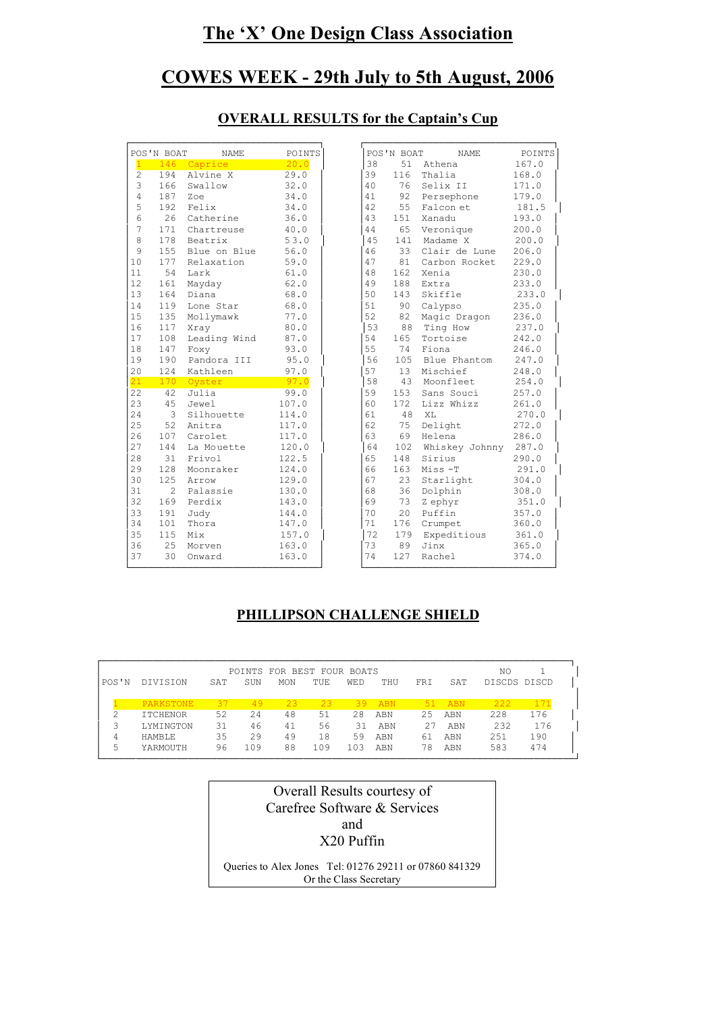# **The 'X' One Design Class Association**

# **COWES WEEK - 29th July to 5th August, 2006**

|                       | POS'N BOAT | <b>NAME</b>  | <b>POINTS</b> |    | POS'N BOAT      | <b>NAME</b>    |
|-----------------------|------------|--------------|---------------|----|-----------------|----------------|
| $\mathbf{1}$          |            | 146 Caprice  | 20.0          | 38 | 51              | Athena         |
| $\mathbf{2}^{\prime}$ | 194        | Alvine X     | 29.0          | 39 | 116             | Thalia         |
| 3                     | 166        | Swallow      | 32.0          | 40 | 76              | Selix II       |
| 4                     | 187        | Zoe          | 34.0          | 41 | 92              | Persephone     |
| 5                     | 192        | Felix        | 34.0          | 42 | 55              | Falcon et      |
| 6                     | 26         | Catherine    | 36.0          | 43 | 151             | Xanadu         |
| 7                     | 171        | Chartreuse   | 40.0          | 44 | 65              | Veronique      |
| 8                     | 178        | Beatrix      | 53.0          | 45 | 141             | Madame X       |
| 9                     | 155        | Blue on Blue | 56.0          | 46 | 33              | Clair de Lune  |
| 10                    | 177        | Relaxation   | 59.0          | 47 | 81              | Carbon Rocket  |
| 11                    | 54         | Lark         | 61.0          | 48 | 162             | Xenia          |
| 12                    | 161        | Mayday       | 62.0          | 49 | 188             | Extra          |
| 13                    | 164        | Diana        | 68.0          | 50 | 143             | Skiffle        |
| 14                    | 119        | Lone Star    | 68.0          | 51 | 90              | Calypso        |
| 15                    | 135        | Mollymawk    | 77.0          | 52 | 82              | Magic Dragon   |
| 16                    | 117        | Xray         | 80.0          | 53 | 88              | Ting How       |
| 17                    | 108        | Leading Wind | 87.0          | 54 | 165             | Tortoise       |
| 18                    | 147        | Foxy         | 93.0          | 55 | 74              | Fiona          |
| 19                    | 190        | Pandora III  | 95.0          | 56 | 105             | Blue Phantom   |
| 20                    | 124        | Kathleen     | 97.0          | 57 | 13              | Mischief       |
| 21                    | 170        | Oyster       | 97.0          | 58 | 43              | Moonfleet      |
| 22                    | 42         | Julia        | 99.0          | 59 | 153             | Sans Souci     |
| 23                    | 45         | Jewel        | 107.0         | 60 | 172             | Lizz Whizz     |
| 24                    | 3          | Silhouette   | 114.0         | 61 | 48              | XL             |
| 25                    | 52         | Anitra       | 117.0         | 62 | 75              | Delight        |
| 26                    | 107        | Carolet      | 117.0         | 63 | 69              | Helena         |
| 27                    | 144        | La Mouette   | 120.0         | 64 | 102             | Whiskey Johnny |
| 28                    | 31         | Frivol       | 122.5         | 65 | 148             | Sirius         |
| 29                    | 128        | Moonraker    | 124.0         | 66 | 163             | Miss-T         |
| 30                    | 125        | Arrow        | 129.0         | 67 | 23              | Starlight      |
|                       | 2          | Palassie     | 130.0         | 68 | 36              | Dolphin        |
| 31                    |            |              |               | 69 | 73              | Z ephyr        |
| 32                    | 169        | Perdix       | 143.0         | 70 |                 |                |
| 33                    | 191        | Judy         | 144.0         |    | 20 <sub>o</sub> | Puffin         |
| 34                    | 101        | Thora        | 147.0         | 71 | 176             | Crumpet        |
| 35                    | 115        | Mix          | 157.0         | 72 | 179             | Expeditious    |
| 36                    | 25         | Morven       | 163.0         | 73 | 89              | Jinx           |

## **OVERALL RESULTS for the Captain's Cup**

## **PHILLIPSON CHALLENGE SHIELD**

|       |                 |     |     | POINTS FOR BEST FOUR BOATS |      |     |     |     |     | NO           |     |
|-------|-----------------|-----|-----|----------------------------|------|-----|-----|-----|-----|--------------|-----|
| POS'N | DIVISION        | SAT | SUN | MON                        | TUE. | WED | THU | FRI | SAT | DISCDS DISCD |     |
|       | PARKSTONE       | 37  | 49  | 23                         | 23   | 39  | ABN | 51  | ABN | 222          | 171 |
|       | <b>ITCHENOR</b> | 52  | 24  | 48                         | 51   | 28  | ABN | 25  | ABN | 228          | 176 |
|       | LYMINGTON       | 31  | 46  | 41                         | 56   | 31  | ABN | 27  | ABN | 232          | 176 |
| 4     | HAMBLE          | 35  | 29  | 49                         | 18   | 59  | ABN | 61  | ABN | 251          | 190 |
| 5     | YARMOUTH        | 96  | 109 | 88                         | 109  | 103 | ABN | 78  | ABN | 583          | 474 |

| Overall Results courtesy of                            |
|--------------------------------------------------------|
| Carefree Software & Services                           |
| and                                                    |
| X20 Puffin                                             |
|                                                        |
| Queries to Alex Jones Tel: 01276 29211 or 07860 841329 |
| Or the Class Secretary                                 |
|                                                        |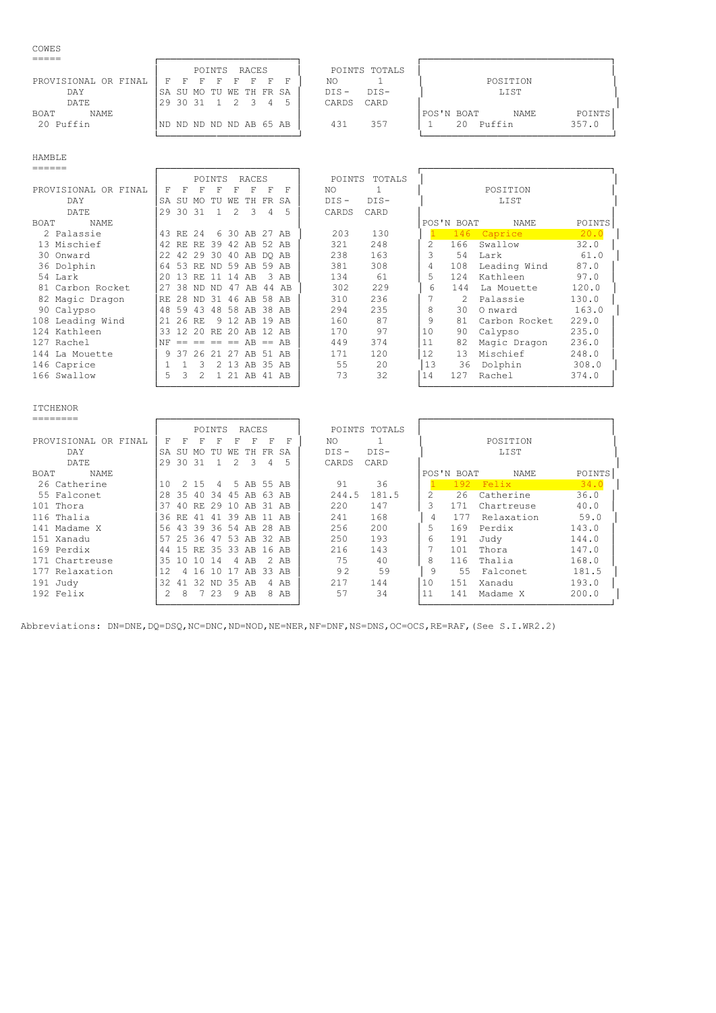### COWES

|                            | RACES<br>POINTS                | POINTS TOTALS     |                                      |
|----------------------------|--------------------------------|-------------------|--------------------------------------|
| PROVISIONAL OR FINAL       | - 도<br>- 17<br>F.<br>F.<br>- F | NO                | POSITION                             |
| DAY                        | SA SU MO TU WE TH FR SA        | $DTS-$<br>$DTS -$ | <b>LIST</b>                          |
| DATE                       | 1 2 3<br>129 30 31             | CARD<br>CARDS     |                                      |
| <b>NAME</b><br><b>BOAT</b> |                                |                   | <b>POINTS</b><br>'POS'N BOAT<br>NAME |
| 20 Puffin                  | IND ND ND ND ND AB 65 AB       | 357<br>431        | 357.0<br>Puffin<br>2.0               |
|                            |                                |                   |                                      |

|--|

| ______               |           |       |                       |          |     |                |     |       |         |        |    |               |               |        |
|----------------------|-----------|-------|-----------------------|----------|-----|----------------|-----|-------|---------|--------|----|---------------|---------------|--------|
|                      |           |       |                       | POINTS   |     | RACES          |     |       | POINTS  | TOTALS |    |               |               |        |
| PROVISIONAL OR FINAL | F         |       |                       | F        |     |                | F   | F     | NO      | -1     |    |               | POSITION      |        |
| DAY                  | <b>SA</b> | SU    | MO.                   | TU       | WF. | TH.            | FR. | SA    | $DIS -$ | DIS-   |    |               | LIST          |        |
| DATE                 | 29        | 30    | -31                   |          | 2   | -3             | 4   | 5     | CARDS   | CARD   |    |               |               |        |
| BOAT<br><b>NAME</b>  |           |       |                       |          |     |                |     |       |         |        |    | POS'N BOAT    | NAME          | POINTS |
| 2 Palassie           |           | 43 RE | 2.4                   |          |     | 6 30 AB 27 AB  |     |       | 203     | 130    |    |               | 146 Caprice   | 20.0   |
| 13 Mischief          |           | 42 RE | RE.                   |          |     | 39 42 AB 52 AB |     |       | 321     | 248    | 2  | 166           | Swallow       | 32.0   |
| 30 Onward            |           | 22 42 | 29 30 40 AB DO AB     |          |     |                |     |       | 238     | 163    | 3  | 54            | Lark          | 61.0   |
| 36 Dolphin           | 64        | 53    | RF.                   |          |     | ND 59 AB 59 AB |     |       | 381     | 308    | 4  | 108           | Leading Wind  | 87.0   |
| 54 Lark              | 20        | 13    | RE.                   | 11       | 14  | AB             |     | 3 AB  | 134     | 61     | 5  | 124           | Kathleen      | 97.0   |
| 81 Carbon Rocket     | 27        | 38    | ND.                   | -ND      | 47  | AB             |     | 44 AB | 302     | 229    | 6  | 144           | La Mouette    | 120.0  |
| 82 Magic Dragon      | RF.       | 28    | ND.                   |          |     | 31 46 AB 58 AB |     |       | 310     | 236    |    | $\mathcal{L}$ | Palassie      | 130.0  |
| 90 Calypso           |           | 48 59 | 43                    |          |     | 48 58 AB       |     | 38 AB | 294     | 235    | 8  | 30            | O nward       | 163.0  |
| 108 Leading Wind     | 21        | 26    | RE.                   |          |     | 9 12 AB        |     | 19 AB | 160     | 87     | 9  | 81            | Carbon Rocket | 229.0  |
| 124 Kathleen         | 33        | 12    | 2.0                   | RF.      |     | 20 AB          |     | 12 AB | 170     | 97     | 10 | 90            | Calypso       | 235.0  |
| 127 Rachel           | NF        |       | $== == == =$ AB == AB |          |     |                |     |       | 449     | 374    | 11 | 82            | Magic Dragon  | 236.0  |
| 144 La Mouette       |           | 9 37  |                       | 26 21 27 |     | AB 51 AB       |     |       | 171     | 120    | 12 | 13            | Mischief      | 248.0  |
| 146 Caprice          |           |       | 3                     |          |     | 2 13 AB 35 AB  |     |       | 55      | 20     | 13 | 36            | Dolphin       | 308.0  |
| 166 Swallow          | 5         | 3     | 2                     |          |     | 1 21 AB 41 AB  |     |       | 73      | 32     | 14 | 127           | Rachel        | 374.0  |
|                      |           |       |                       |          |     |                |     |       |         |        |    |               |               |        |
|                      |           |       |                       |          |     |                |     |       |         |        |    |               |               |        |
| <b>TTCHENOR</b>      |           |       |                       |          |     |                |     |       |         |        |    |               |               |        |
| ========             |           |       |                       |          |     |                |     |       |         |        |    |               |               |        |

| --------             |     |                |     |        |     |                         |       |        |         |               |    |            |             |        |
|----------------------|-----|----------------|-----|--------|-----|-------------------------|-------|--------|---------|---------------|----|------------|-------------|--------|
|                      |     |                |     | POINTS |     | RACES                   |       |        |         | POINTS TOTALS |    |            |             |        |
| PROVISIONAL OR FINAL | F   | F              | F   | F      |     | F                       | F     | F      | NO.     |               |    |            | POSITION    |        |
| DAY                  | SA  | SU             | MO. | TU     | WЕ  | TH.                     | FR.   | SA     | $DIS -$ | $DIS-$        |    |            | LIST        |        |
| DATE                 | 29  | 30             | -31 |        | 2   | 3                       | 4     | 5      | CARDS   | CARD          |    |            |             |        |
| NAME<br>BOAT         |     |                |     |        |     |                         |       |        |         |               |    | POS'N BOAT | NAME        | POINTS |
| 26 Catherine         | 1 N | 2              | 15  | 4      |     | 5 AB 55 AB              |       |        | 91      | 36            |    |            | $192$ Felix | 34.0   |
| 55 Falconet          | 28  | 35             | 40  | -34    |     | 45 AB                   | -63   | AB     | 244.5   | 181.5         |    | 26         | Catherine   | 36.0   |
| 101 Thora            | -37 | 4 Q            | RE. | 29     | 10  | AB                      | 31 AB |        | 220     | 147           | ς  | 171        | Chartreuse  | 40.0   |
| 116 Thalia           |     | 36 RE          | 41  | 41     |     | 39 AB                   | 11 AB |        | 241     | 168           |    | 177        | Relaxation  | 59.0   |
| 141 Madame X         |     |                |     |        |     | 56 43 39 36 54 AB 28 AB |       |        | 256     | 200           | 5  | 169        | Perdix      | 143.0  |
| 151 Xanadu           | 57  | 2536           |     | 47     |     | 53 AB 32 AB             |       |        | 250     | 193           | 6  | 191        | Judy        | 144.0  |
| 169 Perdix           |     |                |     |        |     | 44 15 RE 35 33 AB 16 AB |       |        | 216     | 143           |    | 101        | Thora       | 147.0  |
| 171 Chartreuse       | 35  | 10.            | 10  | 14     |     | 4 AB                    |       | $2$ AB | 75      | 40            | 8  | 116        | Thalia      | 168.0  |
| 177 Relaxation       |     | $\overline{4}$ | 16. | 10     | -17 | AB 33 AB                |       |        | 92      | 59            | 9  | 55         | Falconet    | 181.5  |
| 191 Judy             | 32  | 41             | 32  | ND.    |     | 35 AB                   |       | 4 AB   | 217     | 144           | 10 | 151        | Xanadu      | 193.0  |
| $192$ Felix          |     |                |     | 23     | 9   | AB                      |       | 8 AB   | 57      | 34            | 11 | 141        | Madame X    | 200.0  |

└────────────────────────┘ └─────────────────────────────────┘

Abbreviations: DN=DNE, DQ=DSQ, NC=DNC, ND=NOD, NE=NER, NF=DNF, NS=DNS, OC=OCS, RE=RAF, (See S.I.WR2.2)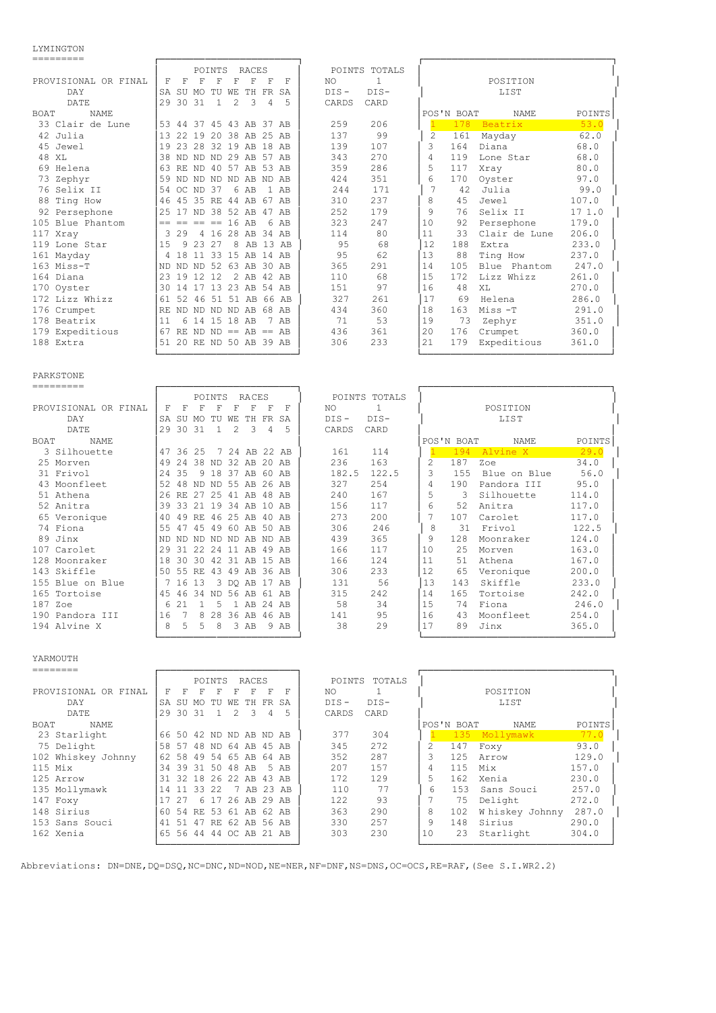LYMINGTON

| ----------                 |                                                                                 |           |        |               |               |                      |          |        |         |               |    |            |               |        |
|----------------------------|---------------------------------------------------------------------------------|-----------|--------|---------------|---------------|----------------------|----------|--------|---------|---------------|----|------------|---------------|--------|
|                            |                                                                                 |           |        | POINTS        |               | RACES                |          |        |         | POINTS TOTALS |    |            |               |        |
| PROVISIONAL OR FINAL       | F                                                                               | F         | F      | F             | F             | F                    | F        | F      | NO.     | -1            |    |            | POSITION      |        |
| <b>DAY</b>                 | SA SU MO                                                                        |           |        | TU            | WF.           |                      | TH FR SA |        | $DIS -$ | $DIS-$        |    |            | LIST          |        |
| <b>DATE</b>                | 29 30 31                                                                        |           |        | $\mathbf{1}$  | $\mathcal{L}$ | 3                    | 4        | 5      | CARDS   | CARD          |    |            |               |        |
| <b>NAME</b><br><b>BOAT</b> |                                                                                 |           |        |               |               |                      |          |        |         |               |    | POS'N BOAT | NAME          | POINTS |
| 33 Clair de Lune           | 53 44 37 45 43 AB 37 AB                                                         |           |        |               |               |                      |          |        | 259     | 206           |    | 178        | Beatrix       | 53.0   |
| 42 Julia                   | 13                                                                              | 2.2       |        |               |               | 19 20 38 AB 25 AB    |          |        | 137     | 99            | 2  | 161        | Mayday        | 62.0   |
| 45 Jewel                   | 19                                                                              |           |        |               |               | 23 28 32 19 AB 18 AB |          |        | 139     | 107           | 3  | 164        | Diana         | 68.0   |
| 48 XL                      | 38 ND ND ND 29 AB 57 AB                                                         |           |        |               |               |                      |          |        | 343     | 270           | 4  | 119        | Lone Star     | 68.0   |
| 69 Helena                  | 63                                                                              | <b>RF</b> |        |               |               | ND 40 57 AB 53 AB    |          |        | 359     | 286           | 5  | 117        | Xray          | 80.0   |
| 73 Zephyr                  | 59                                                                              |           |        |               |               | ND ND ND ND AB ND AB |          |        | 424     | 351           | 6  | 170        | Oyster        | 97.0   |
| 76 Selix II                | 54                                                                              | OC ND 37  |        |               |               | 6 AB                 |          | $1$ AB | 244     | 171           | 7  | 42         | Julia         | 99.0   |
| 88 Ting How                | 46                                                                              | 45 35 RE  |        |               |               | 44 AB 67 AB          |          |        | 310     | 237           | 8  | 45         | Jewel         | 107.0  |
| 92 Persephone              | 2.5                                                                             | 17        |        |               |               | ND 38 52 AB 47 AB    |          |        | 252     | 179           | 9  | 76         | Selix II      | 171.0  |
| 105 Blue Phantom           | $\begin{array}{cccccccccccccc} = & & = & & = & & = & & = & & = & & \end{array}$ |           |        |               | 16 AB         |                      |          | 6 AB   | 323     | 247           | 10 | 92         | Persephone    | 179.0  |
| 117 Xray                   | 3                                                                               | 29        |        |               |               | 4 16 28 AB 34 AB     |          |        | 114     | 80            | 11 | 33         | Clair de Lune | 206.0  |
| 119 Lone Star              | 1.5                                                                             | 9         | 23     | -27           | 8             |                      | AB 13 AB |        | 95      | 68            | 12 | 188        | Extra         | 233.0  |
| 161 Mayday                 | 4 18                                                                            |           | 11     |               |               | 33 15 AB 14 AB       |          |        | 95      | 62            | 13 | 88         | Ting How      | 237.0  |
| 163 Miss-T                 | ND ND ND 52                                                                     |           |        |               |               | 63 AB 30 AB          |          |        | 365     | 291           | 14 | 105        | Blue Phantom  | 247.0  |
| 164 Diana                  | 23                                                                              | 19        | 12, 12 |               |               | 2 AB 42 AB           |          |        | 110     | 68            | 15 | 172        | Lizz Whizz    | 261.0  |
| 170 Oyster                 | 30                                                                              | 14        | 17     | 13            |               | 23 AB 54 AB          |          |        | 151     | 97            | 16 | 48         | XT.           | 270.0  |
| 172 Lizz Whizz             | 61                                                                              |           |        |               |               | 52 46 51 51 AB 66 AB |          |        | 327     | 261           | 17 | 69         | Helena        | 286.0  |
| 176 Crumpet                | RF.                                                                             |           |        |               |               | ND ND ND ND AB 68 AB |          |        | 434     | 360           | 18 | 163        | Miss-T        | 291.0  |
| 178 Beatrix                | 11                                                                              |           |        | 6 14 15 18 AB |               |                      |          | 7 AB   | 71      | 53            | 19 | 73         | Zephyr        | 351.0  |
| 179 Expeditious            | 67 RE ND ND == $AB$ == $AB$                                                     |           |        |               |               |                      |          |        | 436     | 361           | 20 | 176        | Crumpet       | 360.0  |
| 188 Extra                  | 51 20 RE ND 50 AB 39 AB                                                         |           |        |               |               |                      |          |        | 306     | 233           | 21 | 179        | Expeditious   | 361.0  |
|                            |                                                                                 |           |        |               |               |                      |          |        |         |               |    |            |               |        |

## PARKSTONE

========= ┌────────────────────────┐ ┌─────────────────────────────────┐

|                            |     |          |       | <b>POINTS</b>  |      | <b>RACES</b>      |       |               |         | POINTS TOTALS |    |            |              |        |
|----------------------------|-----|----------|-------|----------------|------|-------------------|-------|---------------|---------|---------------|----|------------|--------------|--------|
| PROVISIONAL OR FINAL       | F   | F        |       | F              | F    | F                 | F     | F             | NO.     |               |    |            | POSITION     |        |
| DAY                        | SA  | SU       | MO.   | TU             | WЕ   | TH.               | FR SA |               | $DIS -$ | DIS-          |    |            | LIST         |        |
| DATE                       | 29  | 30 31    |       | $\overline{1}$ | 2    | -3                | 4     | 5             | CARDS   | CARD          |    |            |              |        |
| <b>NAME</b><br><b>BOAT</b> |     |          |       |                |      |                   |       |               |         |               |    | POS'N BOAT | NAME         | POINTS |
| 3 Silhouette               |     | 47 36 25 |       |                |      |                   |       | 7 24 AB 22 AB | 161     | 114           |    | 194        | Alvine X     | 29.0   |
| 25 Morven                  | 49  | 2.4      |       |                |      | 38 ND 32 AB 20 AB |       |               | 236     | 163           | 2  | 187        | Zoe          | 34.0   |
| 31 Frivol                  | 2.4 | 35       |       | 9 18           |      | 37 AB 60 AB       |       |               | 182.5   | 122.5         | 3  | 155        | Blue on Blue | 56.0   |
| 43 Moonfleet               | 52  | 48       |       |                |      | ND ND 55 AB 26 AB |       |               | 327     | 254           | 4  | 190        | Pandora III  | 95.0   |
| 51 Athena                  |     |          |       | 26 RE 27 25    |      | 41 AB 48 AB       |       |               | 240     | 167           | 5  | 3          | Silhouette   | 114.0  |
| 52 Anitra                  | 39  | 33       | 2.1   | 19             | - 34 | AB 10 AB          |       |               | 156     | 117           | 6  | 52         | Anitra       | 117.0  |
| 65 Veronique               | 40  | 49       |       |                |      | RE 46 25 AB 40 AB |       |               | 273     | 200           |    | 107        | Carolet      | 117.0  |
| 74 Fiona                   |     | 55 47    | 45    | 49             | 60   | AB 50 AB          |       |               | 306     | 246           |    | 8<br>31    | Frivol       | 122.5  |
| 89 Jinx                    | ND. | ND.      | ND.   |                |      | ND ND AB ND AB    |       |               | 439     | 365           | 9  | 128        | Moonraker    | 124.0  |
| 107 Carolet                | 29  |          |       | 31 22 24       |      | 11 AB 49 AB       |       |               | 166     | 117           | 10 | 2.5        | Morven       | 163.0  |
| 128 Moonraker              | 18  | 30       | 30    | 42 31 AB       |      |                   | 15    | AB            | 166     | 124           | 11 | 51         | Athena       | 167.0  |
| 143 Skiffle                | 50  |          | 55 RE | 43             |      | 49 AB 36 AB       |       |               | 306     | 233           | 12 | 65         | Veronique    | 200.0  |
| 155 Blue on Blue           |     | 7 16 13  |       |                |      | 3 DO AB 17 AB     |       |               | 131     | 56            | 13 | 143        | Skiffle      | 233.0  |
| 165 Tortoise               | 45  | 46       | 34    |                |      | ND 56 AB          | 61 AB |               | 315     | 242           | 14 | 165        | Tortoise     | 242.0  |
| 187 Zoe                    | 6   | 21       |       | .5             |      | 1 AB 24 AB        |       |               | 58      | 34            | 15 | 74         | Fiona        | 246.0  |
| 190 Pandora III            | 16  |          | 8     | 28             |      | 36 AB             | 46 AB |               | 141     | 95            | 16 | 43         | Moonfleet    | 254.0  |
| 194 Alvine X               | 8   | 5.       | 5     | 8              |      | 3 AB              |       | 9 AB          | 38      | 29            | 17 | 89         | Jinx         | 365.0  |
|                            |     |          |       |                |      |                   |       |               |         |               |    |            |              |        |

#### YARMOUTH

|                      |    |      |    | POINTS      |    | RACES             |       |      | POINTS  | TOTALS |    |            |                 |        |
|----------------------|----|------|----|-------------|----|-------------------|-------|------|---------|--------|----|------------|-----------------|--------|
| PROVISIONAL OR FINAL | F  | F    | F  | F           | F  | F                 | F     | F    | NO.     |        |    |            | POSITION        |        |
| DAY                  | SA | SU   | MO | TU          | WЕ | TH.               | FR.   | SA   | $DIS -$ | $DIS-$ |    |            | LIST            |        |
| DATE                 | 29 | 30   | 31 |             | 2  | २                 | 4     | 5    | CARDS   | CARD   |    |            |                 |        |
| NAME<br><b>BOAT</b>  |    |      |    |             |    |                   |       |      |         |        |    | POS'N BOAT | NAME            | POINTS |
| 23 Starlight         |    | 6650 | 42 |             |    | ND ND AB ND AB    |       |      | 377     | 304    |    | 135        | Mollymawk       | 77.0   |
| 75 Delight           | 58 | -57  | 48 |             |    | ND 64 AB          | 45 AB |      | 345     | 2.72   |    | 147        | Foxy            | 93.0   |
| 102 Whiskey Johnny   | 62 | 58   | 49 | 54          |    | 65 AB             | 64 AB |      | 352     | 287    | 3  | 125        | Arrow           | 129.0  |
| $115$ Mix            | 34 | 39   |    | 31 50 48 AB |    |                   |       | 5 AB | 207     | 157    |    | 115        | Mix             | 157.0  |
| 125 Arrow            | 31 | 32   |    |             |    | 18 26 22 AB 43 AB |       |      | 172     | 129    | 5  | 162        | Xenia           | 230.0  |
| 135 Mollymawk        | 14 | 11   | 33 | 2.2         |    | 7 AB 23 AB        |       |      | 110     | 77     | 6  | 153        | Sans Souci      | 257.0  |
| 147 Foxy             |    | -25  | 6  | -17         |    | 26 AB 29 AB       |       |      | 122     | 93     |    | 75         | Delight         | 272.0  |
| 148 Sirius           | 60 | .54  |    | RE 53       |    | 61 AB 62 AB       |       |      | 363     | 290    | 8  | 102        | W hiskey Johnny | 287.0  |
| 153 Sans Souci       | 41 | 51   | 47 |             |    | RE 62 AB 56 AB    |       |      | 330     | 257    | 9  | 148        | Sirius          | 290.0  |
| 162 Xenia            | 65 | 56   |    | 4444        |    | OC AB 21 AB       |       |      | 303     | 230    | 10 | 23         | Starlight       | 304.0  |
|                      |    |      |    |             |    |                   |       |      |         |        |    |            |                 |        |

Abbreviations: DN=DNE, DQ=DSQ, NC=DNC, ND=NOD, NE=NER, NF=DNF, NS=DNS, OC=OCS, RE=RAF, (See S.I.WR2.2)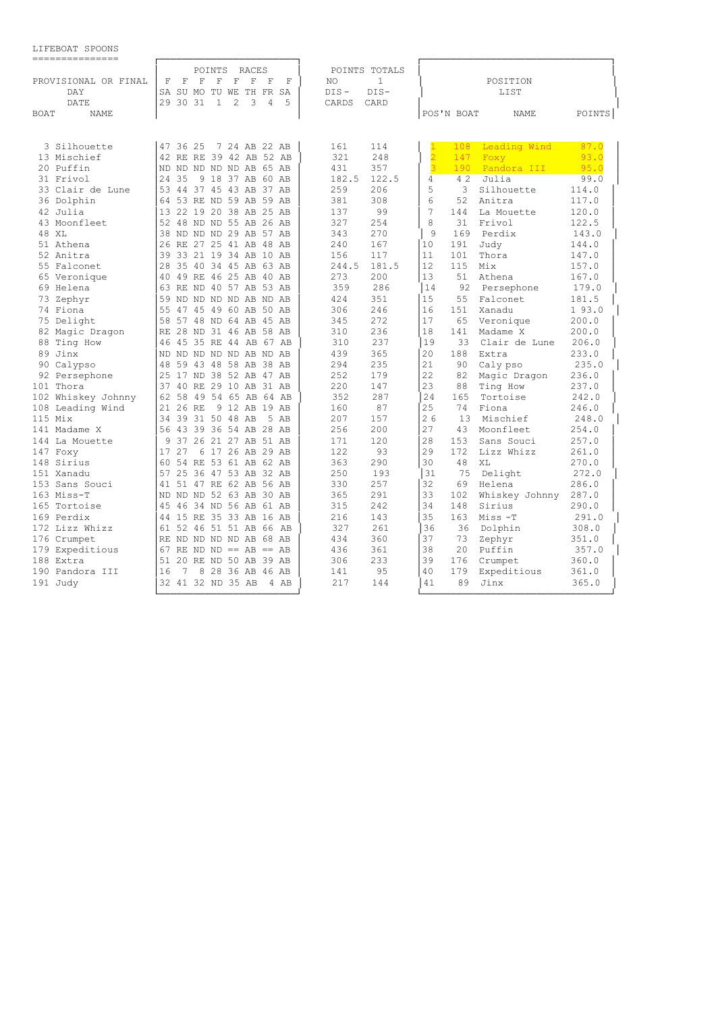| LIFEBOAT SPOONS |  |
|-----------------|--|
|                 |  |

| ---------------            |                         |                            |                     |      |                     |                |     |                |               |
|----------------------------|-------------------------|----------------------------|---------------------|------|---------------------|----------------|-----|----------------|---------------|
|                            |                         | POINTS                     | RACES               |      | POINTS TOTALS       |                |     |                |               |
| PROVISIONAL OR FINAL       | F<br>F                  | F<br>F<br>$\mathbf F$      | F<br>F              | F    | $\mathbf{1}$<br>NO. |                |     | POSITION       |               |
| DAY                        | SA                      | SU MO TU WE TH FR SA       |                     |      | DIS-<br>$DIS -$     |                |     | LIST           |               |
| DATE                       | 2.9<br>30 31            | 2<br>$\mathbf{1}$          | 3<br>$\overline{4}$ | 5    | CARDS<br>CARD       |                |     |                |               |
| <b>BOAT</b><br><b>NAME</b> |                         |                            |                     |      |                     | POS'N BOAT     |     | <b>NAME</b>    | POINTS        |
|                            |                         |                            |                     |      |                     |                |     |                |               |
| 3 Silhouette               | 47 36 25                |                            | 7 24 AB 22 AB       |      | 114<br>161          |                | 108 | Leading Wind   | 87.0          |
| 13 Mischief                | 42 RE RE 39 42 AB 52 AB |                            |                     |      | 321<br>248          | $\overline{2}$ | 147 | Foxy           | 93.0          |
| 20 Puffin                  | ND ND ND ND ND AB 65 AB |                            |                     |      | 431<br>357          | $\overline{3}$ | 190 | Pandora III    | 95.0          |
| 31 Frivol                  | 35<br>24                | 9 18 37 AB 60 AB           |                     |      | 182.5<br>122.5      | $\overline{4}$ | 4 2 | Julia          |               |
|                            |                         | 44 37 45 43 AB 37 AB       |                     |      | 259<br>206          | 5              | 3   | Silhouette     | 99.0<br>114.0 |
| 33 Clair de Lune           | 53                      |                            |                     |      |                     | 6              |     |                |               |
| 36 Dolphin                 | 64                      | 53 RE ND 59 AB 59 AB       |                     |      | 381<br>308<br>99    | 7              | 52  | Anitra         | 117.0         |
| 42 Julia                   | 13                      | 22 19 20 38 AB 25 AB       |                     |      | 137                 |                | 144 | La Mouette     | 120.0         |
| 43 Moonfleet               | 52                      | 48 ND ND 55 AB 26 AB       |                     |      | 327<br>254          | 8              | 31  | Frivol         | 122.5         |
| 48 XL                      | 38                      | ND ND ND 29 AB 57 AB       |                     |      | 343<br>270          | 9              | 169 | Perdix         | 143.0         |
| 51 Athena                  | 26                      | RE 27 25 41 AB 48 AB       |                     |      | 167<br>240          | 10             | 191 | Judy           | 144.0         |
| 52 Anitra                  | 39                      | 33 21 19 34 AB 10 AB       |                     |      | 117<br>156          | 11             | 101 | Thora          | 147.0         |
| 55 Falconet                | 28                      | 35 40 34 45 AB 63 AB       |                     |      | 181.5<br>244.5      | 12             | 115 | Mix            | 157.0         |
| 65 Veronique               | 40                      | 49 RE 46 25 AB 40 AB       |                     |      | 273<br>200          | 13             | 51  | Athena         | 167.0         |
| 69 Helena                  | 63 RE ND 40 57 AB 53 AB |                            |                     |      | 359<br>286          | 14             | 92  | Persephone     | 179.0         |
| 73 Zephyr                  | 59                      | ND ND ND ND AB ND AB       |                     |      | 424<br>351          | 15             | 55  | Falconet       | 181.5         |
| 74 Fiona                   | 55                      | 47 45 49 60 AB 50 AB       |                     |      | 306<br>246          | 16             | 151 | Xanadu         | 193.0         |
| 75 Delight                 | 58                      | 57 48 ND 64 AB 45 AB       |                     |      | 345<br>272          | 17             | 65  | Veronique      | 200.0         |
| 82 Magic Dragon            | RE                      | 28 ND 31 46 AB 58 AB       |                     |      | 236<br>310          | 18             | 141 | Madame X       | 200.0         |
| 88 Ting How                | 46                      | 45 35 RE 44 AB 67 AB       |                     |      | 237<br>310          | 19             | 33  | Clair de Lune  | 206.0         |
| 89 Jinx                    | ND.                     | ND ND ND ND AB ND AB       |                     |      | 439<br>365          | 20             | 188 | Extra          | 233.0         |
| 90 Calypso                 | 48                      | 59 43 48 58 AB 38 AB       |                     |      | 294<br>235          | 21             | 90  | Caly pso       | 235.0         |
| 92 Persephone              | 25                      | 17 ND 38 52 AB 47 AB       |                     |      | 252<br>179          | 22             | 82  | Magic Dragon   | 236.0         |
| 101 Thora                  | 37                      | 40 RE 29 10 AB 31 AB       |                     |      | 220<br>147          | 23             | 88  | Ting How       | 237.0         |
| 102 Whiskey Johnny         | 62                      | 58 49 54 65 AB 64 AB       |                     |      | 352<br>287          | 24             | 165 | Tortoise       | 242.0         |
| 108 Leading Wind           | $26$ RE<br>2.1          |                            | 9 12 AB 19 AB       |      | 87<br>160           | 2.5            | 74  | Fiona          | 246.0         |
| 115 Mix                    | 34                      | 39 31 50 48 AB             |                     | 5 AB | 207<br>157          | 26             | 13  | Mischief       | 248.0         |
| 141 Madame X               | 56 43 39 36 54 AB 28 AB |                            |                     |      | 256<br>200          | 27             | 43  | Moonfleet      | 254.0         |
| 144 La Mouette             | 9                       | 37 26 21 27 AB 51 AB       |                     |      | 120<br>171          | 28             | 153 | Sans Souci     | 257.0         |
| 147 Foxy                   | 17<br>27                | 6 17 26 AB 29 AB           |                     |      | 122<br>93           | 29             | 172 | Lizz Whizz     | 261.0         |
| 148 Sirius                 | 60                      | 54 RE 53 61 AB 62 AB       |                     |      | 290<br>363          | 30             | 48  | XL             | 270.0         |
| 151 Xanadu                 | 57                      | 25 36 47 53 AB 32 AB       |                     |      | 250<br>193          | 31             | 75  | Delight        | 272.0         |
| 153 Sans Souci             | 41                      | 51 47 RE 62 AB 56 AB       |                     |      | 257<br>330          | 32             | 69  | Helena         | 286.0         |
| $163$ Miss-T               | ND.                     | ND ND 52 63 AB 30 AB       |                     |      | 291<br>365          | 33             | 102 | Whiskey Johnny | 287.0         |
| 165 Tortoise               | 45                      | 46 34 ND 56 AB 61 AB       |                     |      | 315<br>242          | 34             | 148 | Sirius         | 290.0         |
| 169 Perdix                 | 44                      | 15 RE 35 33 AB 16 AB       |                     |      | 216<br>143          | 35             | 163 | Miss-T         | 291.0         |
| 172 Lizz Whizz             | 61 52 46 51 51 AB 66 AB |                            |                     |      | 327<br>261          | 36             | 36  | Dolphin        | 308.0         |
| 176 Crumpet                | RE                      | ND ND ND ND AB 68 AB       |                     |      | 434<br>360          | 37             | 73  | Zephyr         | 351.0         |
| 179 Expeditious            | 67                      | $RE$ ND ND == $AB$ == $AB$ |                     |      | 436<br>361          | 38             | 20  | Puffin         | 357.0         |
| 188 Extra                  | 51                      | 20 RE ND 50 AB 39 AB       |                     |      | 233<br>306          | 39             | 176 | Crumpet        | 360.0         |
| 190 Pandora III            | 7<br>16                 | 8 28 36 AB 46 AB           |                     |      | 95<br>141           | 40             | 179 | Expeditious    | 361.0         |
| 191 Judy                   | 32 41 32 ND 35 AB       |                            |                     | 4 AB | 217<br>144          | 41             | 89  | Jinx           | 365.0         |
|                            |                         |                            |                     |      |                     |                |     |                |               |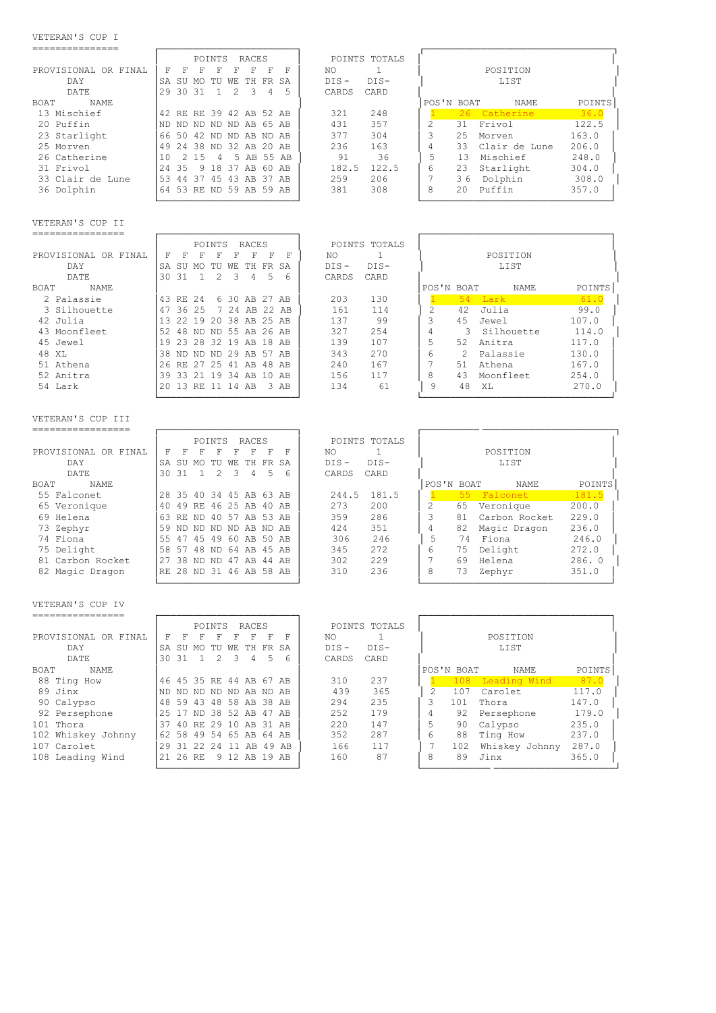#### VETERAN'S CUP I

| ---------------                                                        |                                                                                                        |                                                          |                                                                |                |
|------------------------------------------------------------------------|--------------------------------------------------------------------------------------------------------|----------------------------------------------------------|----------------------------------------------------------------|----------------|
| PROVISIONAL OR FINAL<br>DAY                                            | POINTS<br>RACES<br>$\mathbf F$<br>F<br>F<br>F<br>F<br>F<br>F<br>- F<br>SA SU MO TU WE TH FR SA         | POINTS TOTALS<br>$\mathbf{1}$<br>ΝO<br>$DIS -$<br>DIS-   | POSITION<br>LIST                                               |                |
| DATE                                                                   | 29 30 31<br>$\mathbf{1}$<br>2<br>3<br>$\overline{4}$<br>5                                              | CARDS<br>CARD                                            |                                                                |                |
| BOAT<br>NAME<br>13 Mischief                                            | 42 RE RE 39 42 AB 52 AB                                                                                | 248<br>321                                               | POS'N BOAT<br>NAME<br>26 Catherine<br>$\mathbf{1}$             | POINTS<br>36.0 |
| 20 Puffin                                                              | ND ND ND ND ND AB 65 AB                                                                                | 357<br>431                                               | $\overline{c}$<br>Frivol<br>122.5<br>31                        |                |
| 23 Starlight                                                           | 50 42 ND ND AB ND AB<br>66                                                                             | 377<br>304                                               | 3<br>25<br>163.0<br>Morven                                     |                |
| 25 Morven                                                              | 24 38 ND 32 AB 20 AB<br>49                                                                             | 236<br>163                                               | 4<br>33<br>Clair de Lune<br>206.0                              |                |
| 26 Catherine                                                           | 2 15<br>5 AB 55 AB<br>10<br>4                                                                          | 91<br>36                                                 | 5<br>13<br>Mischief<br>248.0                                   |                |
| 31 Frivol                                                              | 35<br>9 18 37 AB 60 AB<br>24                                                                           | 182.5<br>122.5                                           | 6<br>Starlight<br>23<br>304.0                                  |                |
| 33 Clair de Lune                                                       | 44 37 45 43 AB 37 AB<br>53                                                                             | 259<br>206                                               | 7<br>36<br>Dolphin<br>308.0                                    |                |
| 36 Dolphin                                                             | 64 53 RE ND 59 AB 59 AB                                                                                | 308<br>381                                               | 8<br>Puffin<br>20<br>357.0                                     |                |
|                                                                        |                                                                                                        |                                                          |                                                                |                |
| VETERAN'S CUP II                                                       |                                                                                                        |                                                          |                                                                |                |
| ----------------                                                       |                                                                                                        |                                                          |                                                                |                |
|                                                                        | POINTS<br>RACES                                                                                        | POINTS TOTALS                                            |                                                                |                |
| PROVISIONAL OR FINAL                                                   | $\mathbf F$<br>F<br>F<br>F<br>F<br>F<br>F<br>– F                                                       | ΝO<br>1                                                  | POSITION                                                       |                |
| DAY                                                                    | SA SU MO<br>TU WE<br>TH FR<br>SA                                                                       | $DIS-$<br>$DIS -$                                        | LIST                                                           |                |
| DATE                                                                   | $\mathbf{1}$<br>2<br>3<br>$\overline{4}$<br>5<br>30 31                                                 | CARDS<br>CARD                                            |                                                                |                |
| BOAT<br><b>NAME</b>                                                    |                                                                                                        |                                                          | POS'N BOAT<br>NAME                                             | POINTS         |
| 2 Palassie                                                             | 43 RE 24<br>6 30 AB 27 AB                                                                              | 203<br>130                                               | 54<br>$\mathbf{1}$<br>Lark                                     | 61.0           |
| 3 Silhouette                                                           | 47 36 25<br>7 24 AB 22 AB                                                                              | 161<br>114                                               | $\overline{c}$<br>42<br>Julia<br>99.0                          |                |
| 42 Julia                                                               | 13 22 19 20 38 AB 25 AB                                                                                | 137<br>99                                                | 3<br>45<br>Jewel<br>107.0                                      |                |
| 43 Moonfleet                                                           | 52 48 ND ND 55 AB 26 AB                                                                                | 327<br>254                                               | 4<br>3<br>Silhouette<br>114.0                                  |                |
| 45 Jewel                                                               | 19 23 28 32 19 AB 18 AB                                                                                | 139<br>107                                               | 5<br>52<br>Anitra<br>117.0                                     |                |
| 48 XL                                                                  | 38 ND ND ND 29 AB 57 AB                                                                                | 270<br>343                                               | 6<br>2<br>Palassie<br>130.0                                    |                |
| 51 Athena                                                              | 26 RE 27 25 41 AB 48 AB                                                                                | 240<br>167                                               | 7<br>51<br>Athena<br>167.0                                     |                |
| 52 Anitra                                                              | 33 21 19 34 AB 10 AB<br>39                                                                             | 156<br>117                                               | 8<br>43<br>Moonfleet<br>254.0                                  |                |
| 54 Lark                                                                | 20 13 RE 11 14 AB<br>3 AB                                                                              | 134<br>61                                                | 9<br>48<br>XL<br>270.0                                         |                |
| VETERAN'S CUP III<br>------------------<br>PROVISIONAL OR FINAL<br>DAY | POINTS<br>RACES<br>F<br>$\mathbf F$<br>F<br>F<br>F<br>$\mathbf F$<br>F<br>F<br>SA SU MO TU WE TH FR SA | POINTS TOTALS<br>$\mathbf{1}$<br>NO<br>$DIS -$<br>$DIS-$ | POSITION<br>LIST                                               |                |
| DATE<br><b>BOAT</b><br><b>NAME</b>                                     | $\overline{2}$<br>3<br>5<br>30 31<br>$\mathbf{1}$<br>$\overline{4}$<br>6                               | CARDS<br>CARD                                            | POS'N BOAT<br>NAME                                             | POINTS         |
| 55 Falconet                                                            | 28 35 40 34 45 AB 63 AB                                                                                | 244.5<br>181.5                                           | 55<br>Falconet<br>181.5<br>$\mathbf{1}$                        |                |
| 65 Veronique                                                           | 49 RE 46 25 AB 40 AB<br>40                                                                             | 200<br>273                                               | 2<br>200.0<br>65<br>Veronique                                  |                |
| 69 Helena                                                              | 63 RE ND 40 57 AB 53 AB                                                                                | 359<br>286                                               | 3<br>Carbon Rocket<br>229.0<br>81                              |                |
| 73 Zephyr                                                              | 59<br>ND ND ND ND AB ND AB                                                                             | 351<br>424                                               | $\overline{4}$<br>Magic Dragon<br>236.0<br>82                  |                |
| 74 Fiona                                                               | 47 45 49 60 AB 50 AB<br>55                                                                             | 246<br>306                                               | 5<br>Fiona<br>74<br>246.0                                      |                |
| 75 Delight                                                             | 58<br>57 48 ND 64 AB 45 AB                                                                             | 272<br>345                                               | Delight<br>6<br>75<br>272.0                                    |                |
| 81 Carbon Rocket                                                       | 27 38 ND ND 47 AB 44 AB                                                                                | 229<br>302                                               | 7<br>69<br>Helena<br>286.0                                     |                |
| 82 Magic Dragon                                                        | RE 28 ND 31 46 AB 58 AB                                                                                | 310<br>236                                               | 8<br>73<br>Zephyr<br>351.0                                     |                |
| VETERAN'S CUP IV                                                       |                                                                                                        |                                                          |                                                                |                |
| ----------------                                                       |                                                                                                        |                                                          |                                                                |                |
|                                                                        | POINTS RACES                                                                                           | POINTS TOTALS                                            |                                                                |                |
| PROVISIONAL OR FINAL                                                   | $F$ $F$ $F$<br>$\mathbf{F}$<br>$F$ $F$ $F$ $F$                                                         | $\mathbf{1}$<br>NO                                       | POSITION                                                       |                |
| DAY                                                                    | SA SU MO TU WE TH FR SA                                                                                | $DIS -$<br>$DIS-$                                        | LIST                                                           |                |
| <b>DATE</b>                                                            | 2<br>5<br>30 31<br>$\mathbf{1}$<br>3<br>4<br>6                                                         | CARDS<br>CARD                                            |                                                                |                |
| BOAT<br>NAME                                                           |                                                                                                        |                                                          | POS'N BOAT<br>NAME                                             | POINTS         |
| 88 Ting How                                                            | 46 45 35 RE 44 AB 67 AB                                                                                | 310<br>237                                               | 108 Leading Wind<br>$\mathbf{1}$                               | 87.0           |
| 89 Jinx                                                                | ND ND ND ND ND AB ND AB                                                                                | 439<br>365                                               | 2<br>107<br>Carolet<br>117.0                                   |                |
| 90 Calvpso                                                             | 48 59 43 48 58 AB 38 AB                                                                                | 235<br>294                                               | 3<br>101<br>Thora<br>147.0                                     |                |
| 92 Persephone                                                          | 25 17 ND 38 52 AB 47 AB                                                                                | 252<br>179                                               | 4<br>92<br>Persephone<br>179.0                                 |                |
| 101 Thora                                                              | 37 40 RE 29 10 AB 31 AB                                                                                | 220<br>147                                               | 5<br>Calypso<br>235.0<br>90                                    |                |
|                                                                        |                                                                                                        |                                                          |                                                                |                |
| 102 Whiskey Johnny<br>107 Carolet                                      | 62 58 49 54 65 AB 64 AB<br>29 31 22 24 11 AB 49 AB                                                     | 352<br>287<br>166<br>117                                 | 6<br>Ting How<br>88<br>237.0<br>Whiskey Johnny<br>287.0<br>102 |                |

- 108 Leading Wind │21 26 RE 9 12 AB 19 AB │ 160 87 │ 8 89 Jinx 365.0 │
- └────────────────────────┘ └──────────── ─────────────────────┘